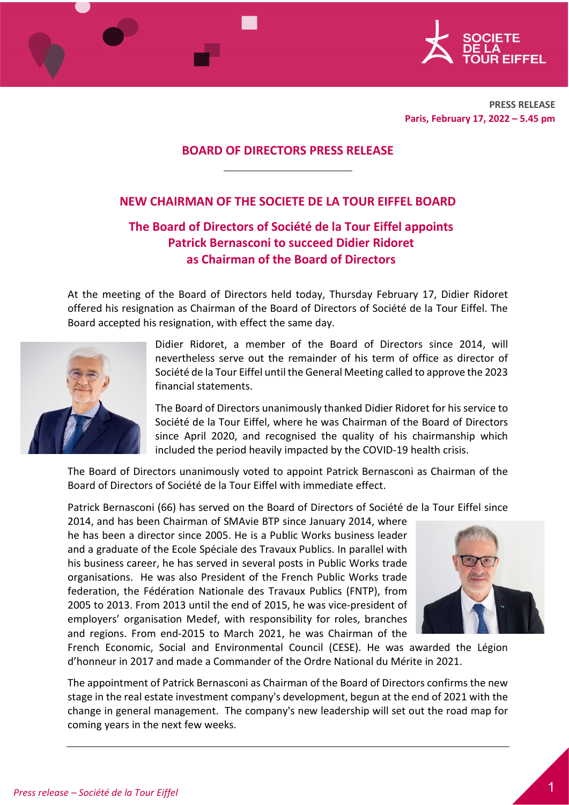

**PRESS RELEASE Paris, February 17, 2022 – 5.45 pm** 

## **BOARD OF DIRECTORS PRESS RELEASE**

## **NEW CHAIRMAN OF THE SOCIETE DE LA TOUR EIFFEL BOARD**

# **The Board of Directors of Société de la Tour Eiffel appoints Patrick Bernasconi to succeed Didier Ridoret as Chairman of the Board of Directors**

At the meeting of the Board of Directors held today, Thursday February 17, Didier Ridoret offered his resignation as Chairman of the Board of Directors of Société de la Tour Eiffel. The Board accepted his resignation, with effect the same day.



Didier Ridoret, a member of the Board of Directors since 2014, will nevertheless serve out the remainder of his term of office as director of Société de la Tour Eiffel until the General Meeting called to approve the 2023 financial statements.

The Board of Directors unanimously thanked Didier Ridoret for his service to Société de la Tour Eiffel, where he was Chairman of the Board of Directors since April 2020, and recognised the quality of his chairmanship which included the period heavily impacted by the COVID-19 health crisis.

The Board of Directors unanimously voted to appoint Patrick Bernasconi as Chairman of the Board of Directors of Société de la Tour Eiffel with immediate effect.

Patrick Bernasconi (66) has served on the Board of Directors of Société de la Tour Eiffel since

2014, and has been Chairman of SMAvie BTP since January 2014, where he has been a director since 2005. He is a Public Works business leader and a graduate of the Ecole Spéciale des Travaux Publics. In parallel with his business career, he has served in several posts in Public Works trade organisations. He was also President of the French Public Works trade federation, the Fédération Nationale des Travaux Publics (FNTP), from 2005 to 2013. From 2013 until the end of 2015, he was vice-president of employers' organisation Medef, with responsibility for roles, branches and regions. From end-2015 to March 2021, he was Chairman of the



French Economic, Social and Environmental Council (CESE). He was awarded the Légion d'honneur in 2017 and made a Commander of the Ordre National du Mérite in 2021.

The appointment of Patrick Bernasconi as Chairman of the Board of Directors confirms the new stage in the real estate investment company's development, begun at the end of 2021 with the change in general management. The company's new leadership will set out the road map for coming years in the next few weeks.